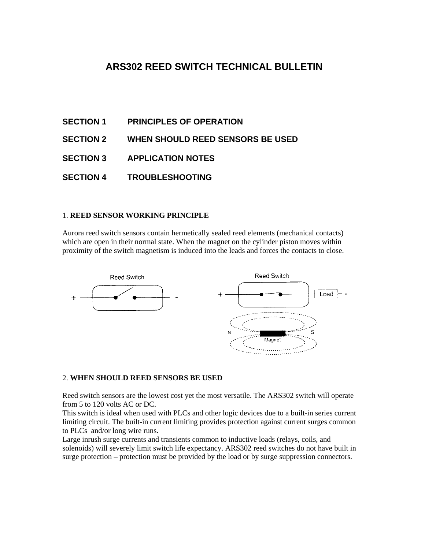# **ARS302 REED SWITCH TECHNICAL BULLETIN**

- **SECTION 1 PRINCIPLES OF OPERATION**
- **SECTION 2 WHEN SHOULD REED SENSORS BE USED**
- **SECTION 3 APPLICATION NOTES**
- **SECTION 4 TROUBLESHOOTING**

## 1. **REED SENSOR WORKING PRINCIPLE**

Aurora reed switch sensors contain hermetically sealed reed elements (mechanical contacts) which are open in their normal state. When the magnet on the cylinder piston moves within proximity of the switch magnetism is induced into the leads and forces the contacts to close.



#### 2. **WHEN SHOULD REED SENSORS BE USED**

Reed switch sensors are the lowest cost yet the most versatile. The ARS302 switch will operate from 5 to 120 volts AC or DC.

This switch is ideal when used with PLCs and other logic devices due to a built-in series current limiting circuit. The built-in current limiting provides protection against current surges common to PLCs and/or long wire runs.

Large inrush surge currents and transients common to inductive loads (relays, coils, and solenoids) will severely limit switch life expectancy. ARS302 reed switches do not have built in surge protection – protection must be provided by the load or by surge suppression connectors.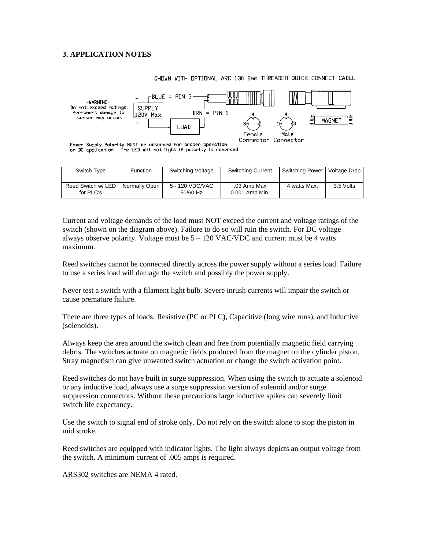## **3. APPLICATION NOTES**



SHOWN WITH OPTIONAL ARC 130 8mm THREADED QUICK CONNECT CABLE

Power Supply Polarity MUST be observed for proper operation<br>on DC application. The LED will not light if polarity is reversed

| Switch Type                     | <b>Function</b> | Switching Voltage             | <b>Switching Current</b>      | Switching Power   Voltage Drop |           |
|---------------------------------|-----------------|-------------------------------|-------------------------------|--------------------------------|-----------|
| Reed Switch w/ LED<br>for PLC's | Normally Open   | 5 - 120 VDC/VAC<br>$50/60$ Hz | .03 Amp Max<br>0.001 Amp Min. | 4 watts Max.                   | 3.5 Volts |

Current and voltage demands of the load must NOT exceed the current and voltage ratings of the switch (shown on the diagram above). Failure to do so will ruin the switch. For DC voltage always observe polarity. Voltage must be  $5 - 120$  VAC/VDC and current must be 4 watts maximum.

Reed switches cannot be connected directly across the power supply without a series load. Failure to use a series load will damage the switch and possibly the power supply.

Never test a switch with a filament light bulb. Severe inrush currents will impair the switch or cause premature failure.

There are three types of loads: Resistive (PC or PLC), Capacitive (long wire runs), and Inductive (solenoids).

Always keep the area around the switch clean and free from potentially magnetic field carrying debris. The switches actuate on magnetic fields produced from the magnet on the cylinder piston. Stray magnetism can give unwanted switch actuation or change the switch activation point.

Reed switches do not have built in surge suppression. When using the switch to actuate a solenoid or any inductive load, always use a surge suppression version of solenoid and/or surge suppression connectors. Without these precautions large inductive spikes can severely limit switch life expectancy.

Use the switch to signal end of stroke only. Do not rely on the switch alone to stop the piston in mid stroke.

Reed switches are equipped with indicator lights. The light always depicts an output voltage from the switch. A minimum current of .005 amps is required.

ARS302 switches are NEMA 4 rated.